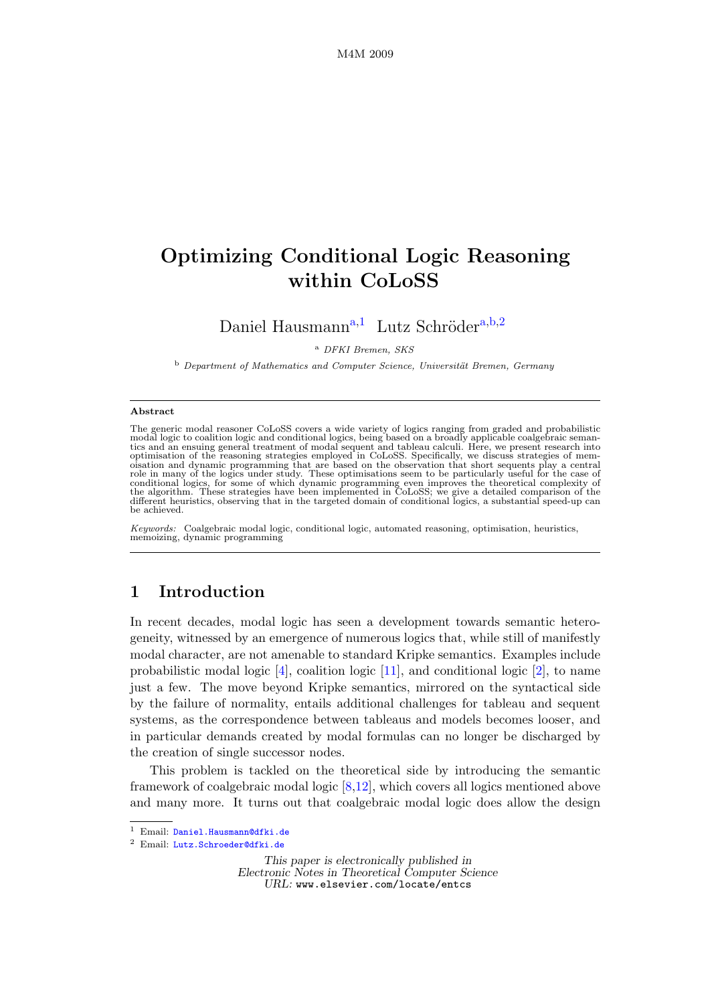# Optimizing Conditional Logic Reasoning within CoLoSS

D[a](#page-0-0)niel Hausmann<sup>a,[1](#page-0-1)</sup> Lutz Schröder<sup>a,[b](#page-0-2),[2](#page-0-1)</sup>

<span id="page-0-0"></span><sup>a</sup> DFKI Bremen, SKS

<span id="page-0-2"></span>b Department of Mathematics and Computer Science, Universität Bremen, Germany

#### <span id="page-0-1"></span>Abstract

The generic modal reasoner CoLoSS covers a wide variety of logics ranging from graded and probabilistic modal logic to coalition logic and conditional logics, being based on a broadly applicable coalgebraic semantics and an ensuing general treatment of modal sequent and tableau calculi. Here, we present research into<br>optimis role in many of the logics under study. These optimisations seem to be particularly useful for the case of<br>conditional logics, for some of which dynamic programming even improves the theoretical complexity of<br>the algorithm be achieved.

Keywords: Coalgebraic modal logic, conditional logic, automated reasoning, optimisation, heuristics, memoizing, dynamic programming

# 1 Introduction

In recent decades, modal logic has seen a development towards semantic heterogeneity, witnessed by an emergence of numerous logics that, while still of manifestly modal character, are not amenable to standard Kripke semantics. Examples include probabilistic modal logic [\[4\]](#page-13-0), coalition logic [\[11\]](#page-13-1), and conditional logic [\[2\]](#page-13-2), to name just a few. The move beyond Kripke semantics, mirrored on the syntactical side by the failure of normality, entails additional challenges for tableau and sequent systems, as the correspondence between tableaus and models becomes looser, and in particular demands created by modal formulas can no longer be discharged by the creation of single successor nodes.

This problem is tackled on the theoretical side by introducing the semantic framework of coalgebraic modal logic [\[8,](#page-13-3)[12\]](#page-13-4), which covers all logics mentioned above and many more. It turns out that coalgebraic modal logic does allow the design

This paper is electronically published in Electronic Notes in Theoretical Computer Science URL: www.elsevier.com/locate/entcs

<sup>&</sup>lt;sup>1</sup> Email: [Daniel.Hausmann@dfki.de](mailto:Daniel.Hausmann@dfki.de)

<sup>2</sup> Email: [Lutz.Schroeder@dfki.de](mailto:Lutz.Schroeder@dfki.de)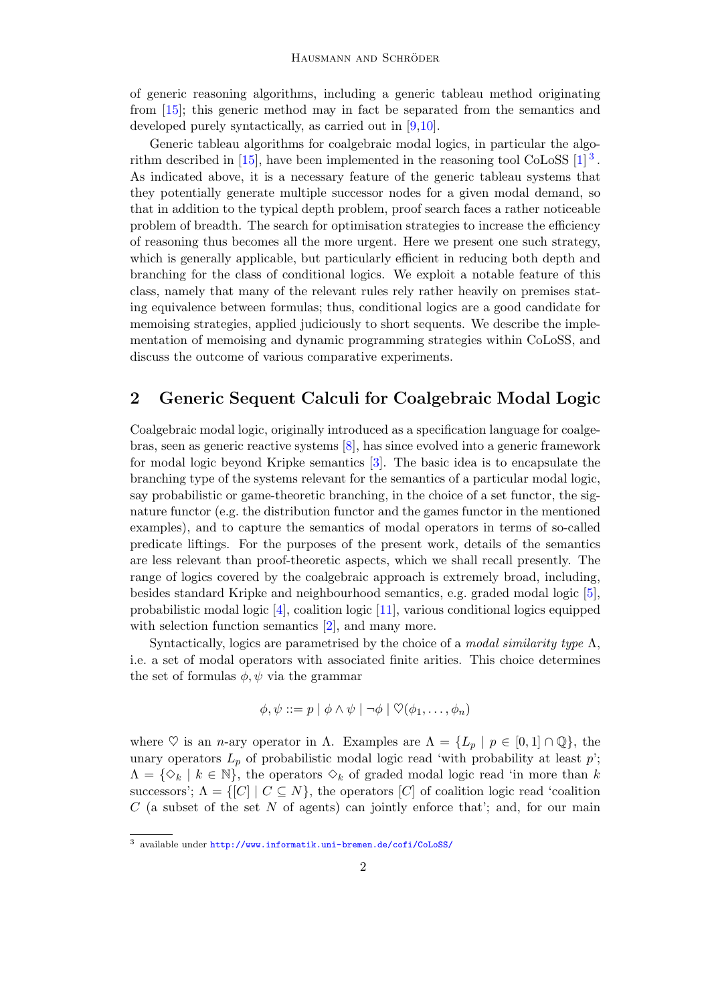of generic reasoning algorithms, including a generic tableau method originating from [\[15\]](#page-13-5); this generic method may in fact be separated from the semantics and developed purely syntactically, as carried out in [\[9](#page-13-6)[,10\]](#page-13-7).

Generic tableau algorithms for coalgebraic modal logics, in particular the algorithm described in  $[15]$ , have been implemented in the reasoning tool CoLoSS  $[1]^3$  $[1]^3$ . As indicated above, it is a necessary feature of the generic tableau systems that they potentially generate multiple successor nodes for a given modal demand, so that in addition to the typical depth problem, proof search faces a rather noticeable problem of breadth. The search for optimisation strategies to increase the efficiency of reasoning thus becomes all the more urgent. Here we present one such strategy, which is generally applicable, but particularly efficient in reducing both depth and branching for the class of conditional logics. We exploit a notable feature of this class, namely that many of the relevant rules rely rather heavily on premises stating equivalence between formulas; thus, conditional logics are a good candidate for memoising strategies, applied judiciously to short sequents. We describe the implementation of memoising and dynamic programming strategies within CoLoSS, and discuss the outcome of various comparative experiments.

### 2 Generic Sequent Calculi for Coalgebraic Modal Logic

Coalgebraic modal logic, originally introduced as a specification language for coalgebras, seen as generic reactive systems [\[8\]](#page-13-3), has since evolved into a generic framework for modal logic beyond Kripke semantics [\[3\]](#page-13-9). The basic idea is to encapsulate the branching type of the systems relevant for the semantics of a particular modal logic, say probabilistic or game-theoretic branching, in the choice of a set functor, the signature functor (e.g. the distribution functor and the games functor in the mentioned examples), and to capture the semantics of modal operators in terms of so-called predicate liftings. For the purposes of the present work, details of the semantics are less relevant than proof-theoretic aspects, which we shall recall presently. The range of logics covered by the coalgebraic approach is extremely broad, including, besides standard Kripke and neighbourhood semantics, e.g. graded modal logic [\[5\]](#page-13-10), probabilistic modal logic [\[4\]](#page-13-0), coalition logic [\[11\]](#page-13-1), various conditional logics equipped with selection function semantics [\[2\]](#page-13-2), and many more.

Syntactically, logics are parametrised by the choice of a *modal similarity type*  $\Lambda$ , i.e. a set of modal operators with associated finite arities. This choice determines the set of formulas  $\phi, \psi$  via the grammar

$$
\phi, \psi ::= p \mid \phi \land \psi \mid \neg \phi \mid \heartsuit(\phi_1, \ldots, \phi_n)
$$

where  $\heartsuit$  is an *n*-ary operator in  $\Lambda$ . Examples are  $\Lambda = \{L_p \mid p \in [0,1] \cap \mathbb{Q}\},\$  the unary operators  $L_p$  of probabilistic modal logic read 'with probability at least  $p$ ';  $\Lambda = \{ \diamond_k | k \in \mathbb{N} \}$ , the operators  $\diamond_k$  of graded modal logic read 'in more than k successors';  $\Lambda = \{ [C] \mid C \subseteq N \}$ , the operators  $[C]$  of coalition logic read 'coalition  $C$  (a subset of the set N of agents) can jointly enforce that'; and, for our main

<span id="page-1-0"></span><sup>3</sup> available under <http://www.informatik.uni-bremen.de/cofi/CoLoSS/>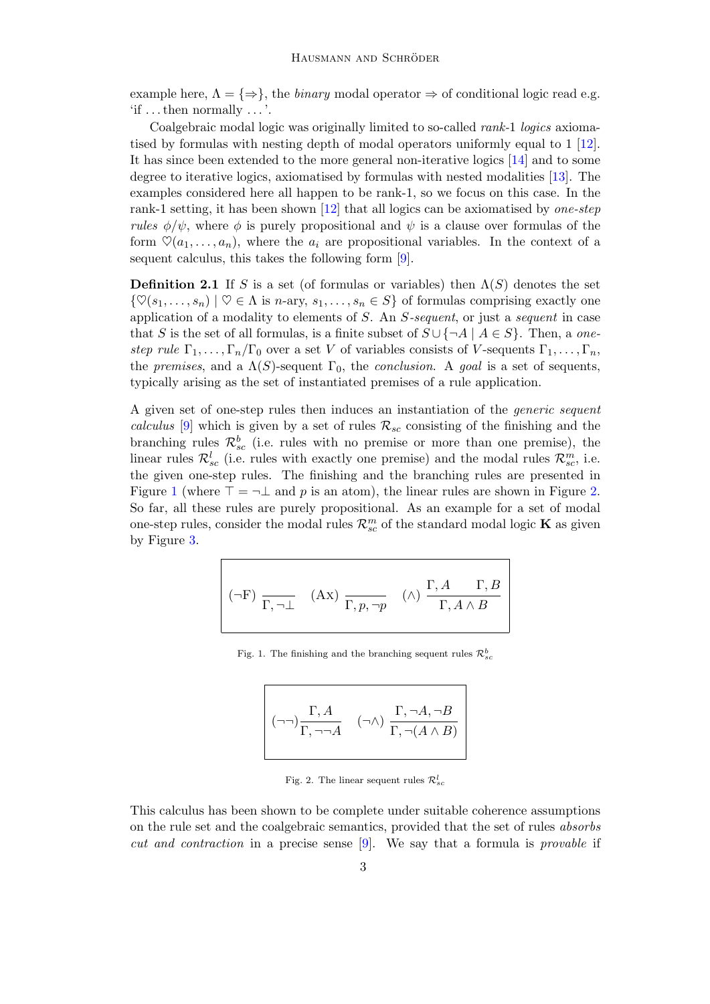example here,  $\Lambda = \{\Rightarrow\}$ , the *binary* modal operator  $\Rightarrow$  of conditional logic read e.g. 'if . . . then normally . . . '.

Coalgebraic modal logic was originally limited to so-called rank-1 logics axiomatised by formulas with nesting depth of modal operators uniformly equal to 1 [\[12\]](#page-13-4). It has since been extended to the more general non-iterative logics [\[14\]](#page-13-11) and to some degree to iterative logics, axiomatised by formulas with nested modalities [\[13\]](#page-13-12). The examples considered here all happen to be rank-1, so we focus on this case. In the rank-1 setting, it has been shown  $[12]$  that all logics can be axiomatised by *one-step* rules  $\phi/\psi$ , where  $\phi$  is purely propositional and  $\psi$  is a clause over formulas of the form  $\heartsuit(a_1, \ldots, a_n)$ , where the  $a_i$  are propositional variables. In the context of a sequent calculus, this takes the following form [\[9\]](#page-13-6).

**Definition 2.1** If S is a set (of formulas or variables) then  $\Lambda(S)$  denotes the set  $\{\heartsuit(s_1,\ldots,s_n) \mid \heartsuit \in \Lambda \text{ is } n\text{-ary}, s_1,\ldots,s_n \in S\}$  of formulas comprising exactly one application of a modality to elements of S. An S-sequent, or just a sequent in case that S is the set of all formulas, is a finite subset of  $S \cup \{\neg A \mid A \in S\}$ . Then, a onestep rule  $\Gamma_1, \ldots, \Gamma_n/\Gamma_0$  over a set V of variables consists of V-sequents  $\Gamma_1, \ldots, \Gamma_n$ , the premises, and a  $\Lambda(S)$ -sequent  $\Gamma_0$ , the conclusion. A goal is a set of sequents, typically arising as the set of instantiated premises of a rule application.

A given set of one-step rules then induces an instantiation of the generic sequent calculus [\[9\]](#page-13-6) which is given by a set of rules  $\mathcal{R}_{sc}$  consisting of the finishing and the branching rules  $\mathcal{R}_{sc}^{b}$  (i.e. rules with no premise or more than one premise), the linear rules  $\mathcal{R}_{sc}^{l}$  (i.e. rules with exactly one premise) and the modal rules  $\mathcal{R}_{sc}^{m}$ , i.e. the given one-step rules. The finishing and the branching rules are presented in Figure [1](#page-2-0) (where  $\top = \neg \bot$  and p is an atom), the linear rules are shown in Figure [2.](#page-2-1) So far, all these rules are purely propositional. As an example for a set of modal one-step rules, consider the modal rules  $\mathcal{R}_{sc}^{m}$  of the standard modal logic **K** as given by Figure [3.](#page-3-0)

$$
(\neg F) \; \frac{}{\Gamma, \neg \bot} \quad \text{(Ax)} \; \frac{}{\Gamma, p, \neg p} \quad (\land) \; \frac{\Gamma, A \quad \Gamma, B}{\Gamma, A \land B}
$$

<span id="page-2-0"></span>Fig. 1. The finishing and the branching sequent rules  $\mathcal{R}^b_{sc}$ 

$$
\begin{pmatrix}\n\Box \Box \Box \Gamma, A \\
\Box \Box \Gamma, \Box \Box A\n\end{pmatrix} \quad (\Box \land) \quad \frac{\Gamma, \Box A, \Box B}{\Gamma, \Box (A \land B)}
$$

<span id="page-2-1"></span>Fig. 2. The linear sequent rules  $\mathcal{R}_{sc}^l$ 

This calculus has been shown to be complete under suitable coherence assumptions on the rule set and the coalgebraic semantics, provided that the set of rules absorbs cut and contraction in a precise sense [\[9\]](#page-13-6). We say that a formula is provable if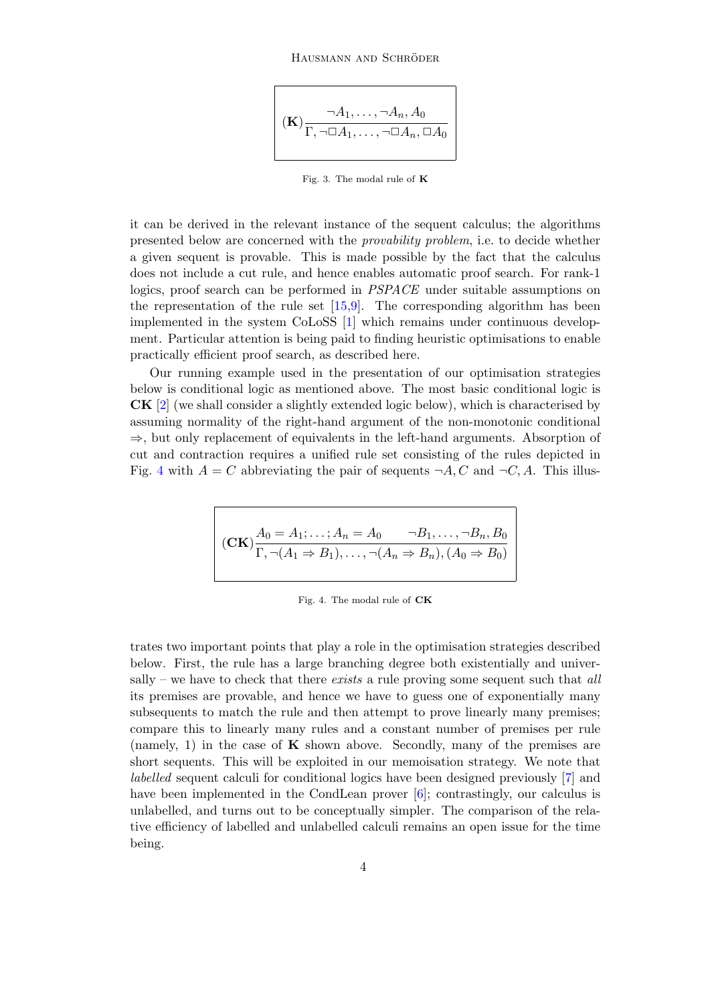#### HAUSMANN AND SCHRÖDER

$$
(\mathbf{K}) \frac{\neg A_1, \dots, \neg A_n, A_0}{\Gamma, \neg \Box A_1, \dots, \neg \Box A_n, \Box A_0}
$$

<span id="page-3-0"></span>Fig. 3. The modal rule of K

it can be derived in the relevant instance of the sequent calculus; the algorithms presented below are concerned with the provability problem, i.e. to decide whether a given sequent is provable. This is made possible by the fact that the calculus does not include a cut rule, and hence enables automatic proof search. For rank-1 logics, proof search can be performed in *PSPACE* under suitable assumptions on the representation of the rule set [\[15,](#page-13-5)[9\]](#page-13-6). The corresponding algorithm has been implemented in the system CoLoSS [\[1\]](#page-13-8) which remains under continuous development. Particular attention is being paid to finding heuristic optimisations to enable practically efficient proof search, as described here.

Our running example used in the presentation of our optimisation strategies below is conditional logic as mentioned above. The most basic conditional logic is CK [\[2\]](#page-13-2) (we shall consider a slightly extended logic below), which is characterised by assuming normality of the right-hand argument of the non-monotonic conditional  $\Rightarrow$ , but only replacement of equivalents in the left-hand arguments. Absorption of cut and contraction requires a unified rule set consisting of the rules depicted in Fig. [4](#page-3-1) with  $A = C$  abbreviating the pair of sequents  $\neg A, C$  and  $\neg C, A$ . This illus-

$$
(CK)\frac{A_0 = A_1; \dots; A_n = A_0 \qquad \neg B_1, \dots, \neg B_n, B_0}{\Gamma, \neg (A_1 \Rightarrow B_1), \dots, \neg (A_n \Rightarrow B_n), (A_0 \Rightarrow B_0)}
$$

<span id="page-3-1"></span>Fig. 4. The modal rule of CK

trates two important points that play a role in the optimisation strategies described below. First, the rule has a large branching degree both existentially and universally – we have to check that there *exists* a rule proving some sequent such that  $all$ its premises are provable, and hence we have to guess one of exponentially many subsequents to match the rule and then attempt to prove linearly many premises; compare this to linearly many rules and a constant number of premises per rule (namely, 1) in the case of  $\bf{K}$  shown above. Secondly, many of the premises are short sequents. This will be exploited in our memoisation strategy. We note that labelled sequent calculi for conditional logics have been designed previously [\[7\]](#page-13-13) and have been implemented in the CondLean prover [\[6\]](#page-13-14); contrastingly, our calculus is unlabelled, and turns out to be conceptually simpler. The comparison of the relative efficiency of labelled and unlabelled calculi remains an open issue for the time being.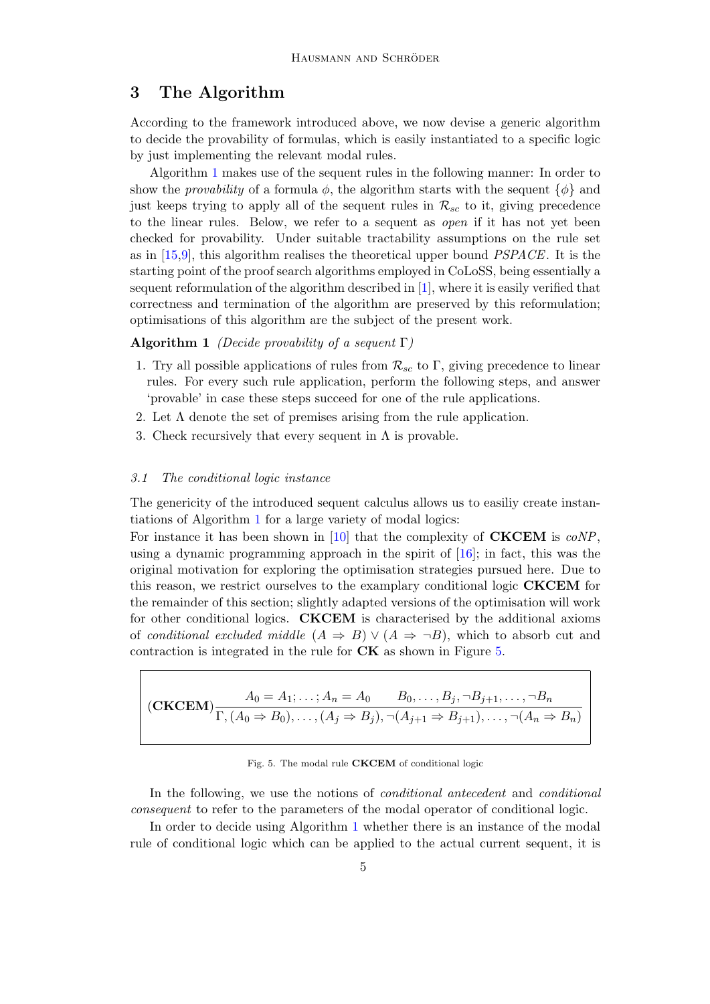# 3 The Algorithm

According to the framework introduced above, we now devise a generic algorithm to decide the provability of formulas, which is easily instantiated to a specific logic by just implementing the relevant modal rules.

Algorithm [1](#page-4-0) makes use of the sequent rules in the following manner: In order to show the *provability* of a formula  $\phi$ , the algorithm starts with the sequent  $\{\phi\}$  and just keeps trying to apply all of the sequent rules in  $\mathcal{R}_{sc}$  to it, giving precedence to the linear rules. Below, we refer to a sequent as open if it has not yet been checked for provability. Under suitable tractability assumptions on the rule set as in  $[15,9]$  $[15,9]$ , this algorithm realises the theoretical upper bound  $PSPACE$ . It is the starting point of the proof search algorithms employed in CoLoSS, being essentially a sequent reformulation of the algorithm described in [\[1\]](#page-13-8), where it is easily verified that correctness and termination of the algorithm are preserved by this reformulation; optimisations of this algorithm are the subject of the present work.

#### **Algorithm 1** (Decide provability of a sequent  $\Gamma$ )

- 1. Try all possible applications of rules from  $\mathcal{R}_{sc}$  to Γ, giving precedence to linear rules. For every such rule application, perform the following steps, and answer 'provable' in case these steps succeed for one of the rule applications.
- 2. Let  $\Lambda$  denote the set of premises arising from the rule application.
- <span id="page-4-0"></span>3. Check recursively that every sequent in  $\Lambda$  is provable.

#### 3.1 The conditional logic instance

The genericity of the introduced sequent calculus allows us to easiliy create instantiations of Algorithm [1](#page-4-0) for a large variety of modal logics:

For instance it has been shown in [\[10\]](#page-13-7) that the complexity of **CKCEM** is  $coNP$ , using a dynamic programming approach in the spirit of [\[16\]](#page-13-15); in fact, this was the original motivation for exploring the optimisation strategies pursued here. Due to this reason, we restrict ourselves to the examplary conditional logic CKCEM for the remainder of this section; slightly adapted versions of the optimisation will work for other conditional logics. CKCEM is characterised by the additional axioms of conditional excluded middle  $(A \Rightarrow B) \vee (A \Rightarrow \neg B)$ , which to absorb cut and contraction is integrated in the rule for CK as shown in Figure [5.](#page-4-1)

$$
\begin{aligned}\n\left( \mathbf{CKCEM} \right) \frac{A_0 = A_1; \dots; A_n = A_0 \qquad B_0, \dots, B_j, \neg B_{j+1}, \dots, \neg B_n}{\Gamma, (A_0 \Rightarrow B_0), \dots, (A_j \Rightarrow B_j), \neg (A_{j+1} \Rightarrow B_{j+1}), \dots, \neg (A_n \Rightarrow B_n)}\n\end{aligned}
$$

#### <span id="page-4-1"></span>Fig. 5. The modal rule CKCEM of conditional logic

In the following, we use the notions of conditional antecedent and conditional consequent to refer to the parameters of the modal operator of conditional logic.

In order to decide using Algorithm [1](#page-4-0) whether there is an instance of the modal rule of conditional logic which can be applied to the actual current sequent, it is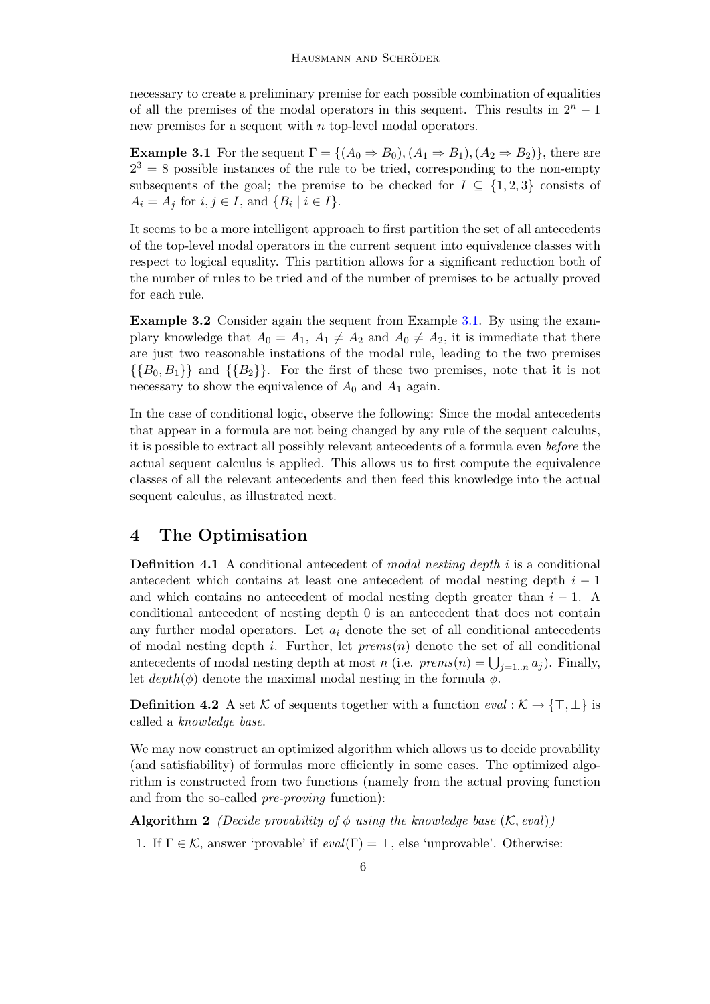necessary to create a preliminary premise for each possible combination of equalities of all the premises of the modal operators in this sequent. This results in  $2<sup>n</sup> - 1$ new premises for a sequent with n top-level modal operators.

<span id="page-5-0"></span>**Example 3.1** For the sequent  $\Gamma = \{(A_0 \Rightarrow B_0), (A_1 \Rightarrow B_1), (A_2 \Rightarrow B_2)\}\)$ , there are  $2^3 = 8$  possible instances of the rule to be tried, corresponding to the non-empty subsequents of the goal; the premise to be checked for  $I \subseteq \{1,2,3\}$  consists of  $A_i = A_j$  for  $i, j \in I$ , and  $\{B_i \mid i \in I\}$ .

It seems to be a more intelligent approach to first partition the set of all antecedents of the top-level modal operators in the current sequent into equivalence classes with respect to logical equality. This partition allows for a significant reduction both of the number of rules to be tried and of the number of premises to be actually proved for each rule.

Example 3.2 Consider again the sequent from Example [3.1.](#page-5-0) By using the examplary knowledge that  $A_0 = A_1$ ,  $A_1 \neq A_2$  and  $A_0 \neq A_2$ , it is immediate that there are just two reasonable instations of the modal rule, leading to the two premises  $\{\{B_0, B_1\}\}\$ and  $\{\{B_2\}\}\$ . For the first of these two premises, note that it is not necessary to show the equivalence of  $A_0$  and  $A_1$  again.

In the case of conditional logic, observe the following: Since the modal antecedents that appear in a formula are not being changed by any rule of the sequent calculus, it is possible to extract all possibly relevant antecedents of a formula even before the actual sequent calculus is applied. This allows us to first compute the equivalence classes of all the relevant antecedents and then feed this knowledge into the actual sequent calculus, as illustrated next.

### 4 The Optimisation

**Definition 4.1** A conditional antecedent of modal nesting depth i is a conditional antecedent which contains at least one antecedent of modal nesting depth  $i - 1$ and which contains no antecedent of modal nesting depth greater than  $i - 1$ . A conditional antecedent of nesting depth 0 is an antecedent that does not contain any further modal operators. Let  $a_i$  denote the set of all conditional antecedents of modal nesting depth i. Further, let  $prems(n)$  denote the set of all conditional antecedents of modal nesting depth at most n (i.e.  $\text{prems}(n) = \bigcup_{j=1..n} a_j$ ). Finally, let  $depth(\phi)$  denote the maximal modal nesting in the formula  $\phi$ .

**Definition 4.2** A set K of sequents together with a function  $eval: \mathcal{K} \to {\top, \bot}$  is called a knowledge base.

We may now construct an optimized algorithm which allows us to decide provability (and satisfiability) of formulas more efficiently in some cases. The optimized algorithm is constructed from two functions (namely from the actual proving function and from the so-called pre-proving function):

<span id="page-5-2"></span>**Algorithm 2** (Decide provability of  $\phi$  using the knowledge base  $(K, eval)$ )

<span id="page-5-1"></span>1. If  $\Gamma \in \mathcal{K}$ , answer 'provable' if  $eval(\Gamma) = \top$ , else 'unprovable'. Otherwise: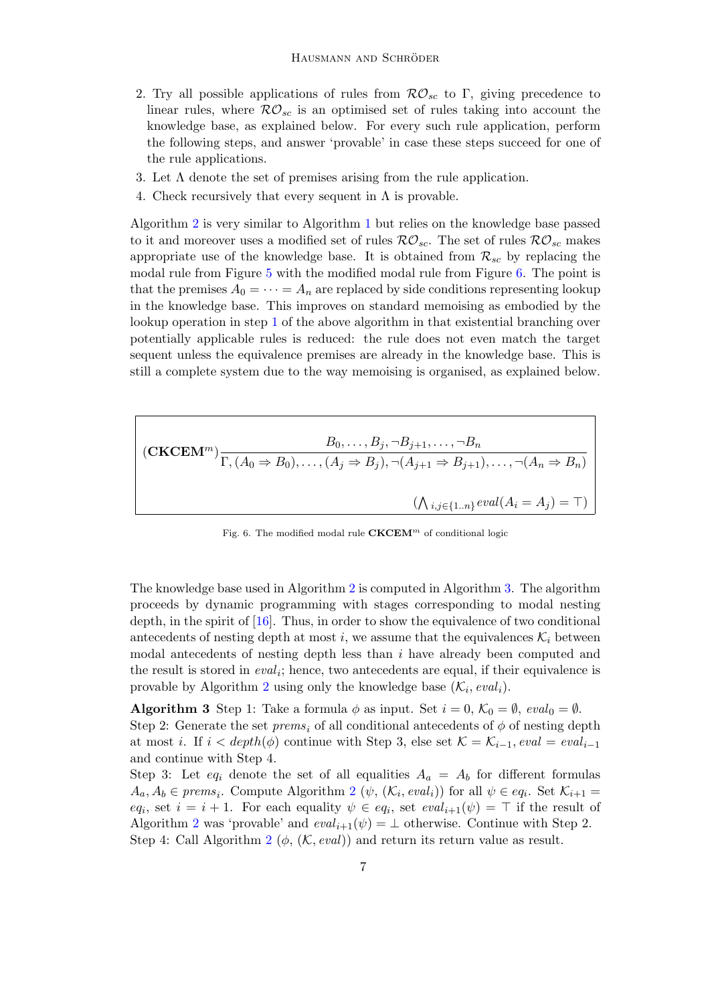- 2. Try all possible applications of rules from  $\mathcal{RO}_{sc}$  to Γ, giving precedence to linear rules, where  $\mathcal{RO}_{sc}$  is an optimised set of rules taking into account the knowledge base, as explained below. For every such rule application, perform the following steps, and answer 'provable' in case these steps succeed for one of the rule applications.
- 3. Let  $\Lambda$  denote the set of premises arising from the rule application.
- <span id="page-6-0"></span>4. Check recursively that every sequent in  $\Lambda$  is provable.

Algorithm [2](#page-6-0) is very similar to Algorithm [1](#page-4-0) but relies on the knowledge base passed to it and moreover uses a modified set of rules  $\mathcal{RO}_{sc}$ . The set of rules  $\mathcal{RO}_{sc}$  makes appropriate use of the knowledge base. It is obtained from  $\mathcal{R}_{sc}$  by replacing the modal rule from Figure [5](#page-4-1) with the modified modal rule from Figure [6.](#page-6-1) The point is that the premises  $A_0 = \cdots = A_n$  are replaced by side conditions representing lookup in the knowledge base. This improves on standard memoising as embodied by the lookup operation in step [1](#page-5-1) of the above algorithm in that existential branching over potentially applicable rules is reduced: the rule does not even match the target sequent unless the equivalence premises are already in the knowledge base. This is still a complete system due to the way memoising is organised, as explained below.

$$
(\mathbf{CKCEM}^m) \frac{B_0, \dots, B_j, \neg B_{j+1}, \dots, \neg B_n}{\Gamma, (A_0 \Rightarrow B_0), \dots, (A_j \Rightarrow B_j), \neg (A_{j+1} \Rightarrow B_{j+1}), \dots, \neg (A_n \Rightarrow B_n)}
$$

$$
(\bigwedge_{i,j \in \{1..n\}} eval(A_i = A_j) = \top)
$$

<span id="page-6-2"></span><span id="page-6-1"></span>Fig. 6. The modified modal rule  $CKCEM<sup>m</sup>$  of conditional logic

The knowledge base used in Algorithm [2](#page-5-2) is computed in Algorithm [3.](#page-6-2) The algorithm proceeds by dynamic programming with stages corresponding to modal nesting depth, in the spirit of [\[16\]](#page-13-15). Thus, in order to show the equivalence of two conditional antecedents of nesting depth at most i, we assume that the equivalences  $\mathcal{K}_i$  between modal antecedents of nesting depth less than  $i$  have already been computed and the result is stored in  $eval_i$ ; hence, two antecedents are equal, if their equivalence is provable by Algorithm [2](#page-6-0) using only the knowledge base  $(\mathcal{K}_i, eval_i)$ .

**Algorithm 3** Step 1: Take a formula  $\phi$  as input. Set  $i = 0, \mathcal{K}_0 = \emptyset$ , evalo =  $\emptyset$ . Step 2: Generate the set  $prems_i$  of all conditional antecedents of  $\phi$  of nesting depth at most i. If  $i < depth(\phi)$  continue with Step 3, else set  $\mathcal{K} = \mathcal{K}_{i-1}$ , eval = evaliand continue with Step 4.

Step 3: Let eq<sub>i</sub> denote the set of all equalities  $A_a = A_b$  for different formulas  $A_a, A_b \in \text{prems}_i$ . Compute Algorithm [2](#page-6-0) ( $\psi$ ,  $(\mathcal{K}_i, eval_i)$ ) for all  $\psi \in eq_i$ . Set  $\mathcal{K}_{i+1} =$ eq<sub>i</sub>, set  $i = i + 1$ . For each equality  $\psi \in eq_i$ , set  $eval_{i+1}(\psi) = \top$  if the result of Algorithm [2](#page-6-0) was 'provable' and  $eval_{i+1}(\psi) = \bot$  otherwise. Continue with Step 2. Step 4: Call Algorithm [2](#page-6-0) ( $\phi$ , (K, eval)) and return its return value as result.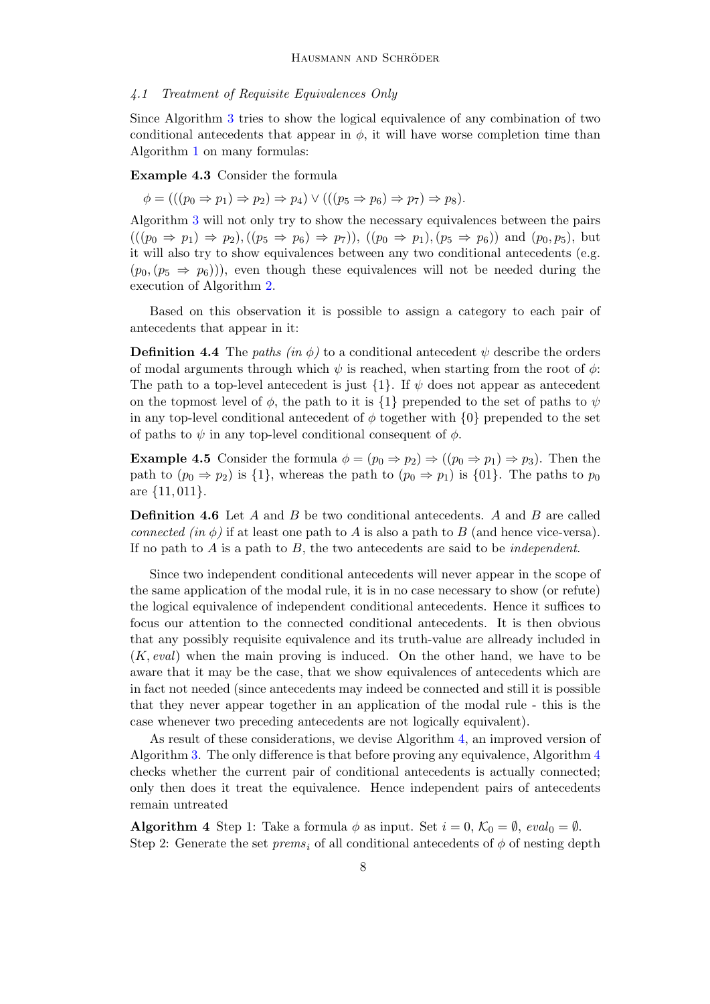#### 4.1 Treatment of Requisite Equivalences Only

Since Algorithm [3](#page-6-2) tries to show the logical equivalence of any combination of two conditional antecedents that appear in  $\phi$ , it will have worse completion time than Algorithm [1](#page-4-0) on many formulas:

Example 4.3 Consider the formula

$$
\phi = (((p_0 \Rightarrow p_1) \Rightarrow p_2) \Rightarrow p_4) \vee (((p_5 \Rightarrow p_6) \Rightarrow p_7) \Rightarrow p_8).
$$

Algorithm [3](#page-6-2) will not only try to show the necessary equivalences between the pairs  $(((p_0 \Rightarrow p_1) \Rightarrow p_2), ((p_5 \Rightarrow p_6) \Rightarrow p_7)), ((p_0 \Rightarrow p_1), (p_5 \Rightarrow p_6))$  and  $(p_0, p_5)$ , but it will also try to show equivalences between any two conditional antecedents (e.g.  $(p_0,(p_5 \Rightarrow p_6)))$ , even though these equivalences will not be needed during the execution of Algorithm [2.](#page-6-0)

Based on this observation it is possible to assign a category to each pair of antecedents that appear in it:

**Definition 4.4** The paths (in  $\phi$ ) to a conditional antecedent  $\psi$  describe the orders of modal arguments through which  $\psi$  is reached, when starting from the root of  $\phi$ : The path to a top-level antecedent is just  $\{1\}$ . If  $\psi$  does not appear as antecedent on the topmost level of  $\phi$ , the path to it is {1} prepended to the set of paths to  $\psi$ in any top-level conditional antecedent of  $\phi$  together with  $\{0\}$  prepended to the set of paths to  $\psi$  in any top-level conditional consequent of  $\phi$ .

**Example 4.5** Consider the formula  $\phi = (p_0 \Rightarrow p_2) \Rightarrow ((p_0 \Rightarrow p_1) \Rightarrow p_3)$ . Then the path to  $(p_0 \Rightarrow p_2)$  is  $\{1\}$ , whereas the path to  $(p_0 \Rightarrow p_1)$  is  $\{01\}$ . The paths to  $p_0$ are  $\{11, 011\}$ .

Definition 4.6 Let A and B be two conditional antecedents. A and B are called connected (in  $\phi$ ) if at least one path to A is also a path to B (and hence vice-versa). If no path to  $A$  is a path to  $B$ , the two antecedents are said to be *independent*.

Since two independent conditional antecedents will never appear in the scope of the same application of the modal rule, it is in no case necessary to show (or refute) the logical equivalence of independent conditional antecedents. Hence it suffices to focus our attention to the connected conditional antecedents. It is then obvious that any possibly requisite equivalence and its truth-value are allready included in  $(K, eval)$  when the main proving is induced. On the other hand, we have to be aware that it may be the case, that we show equivalences of antecedents which are in fact not needed (since antecedents may indeed be connected and still it is possible that they never appear together in an application of the modal rule - this is the case whenever two preceding antecedents are not logically equivalent).

As result of these considerations, we devise Algorithm [4,](#page-7-0) an improved version of Algorithm [3.](#page-6-2) The only difference is that before proving any equivalence, Algorithm [4](#page-7-0) checks whether the current pair of conditional antecedents is actually connected; only then does it treat the equivalence. Hence independent pairs of antecedents remain untreated

<span id="page-7-0"></span>**Algorithm 4** Step 1: Take a formula  $\phi$  as input. Set  $i = 0, \mathcal{K}_0 = \emptyset$ , eval<sub>0</sub> =  $\emptyset$ . Step 2: Generate the set  $prems_i$  of all conditional antecedents of  $\phi$  of nesting depth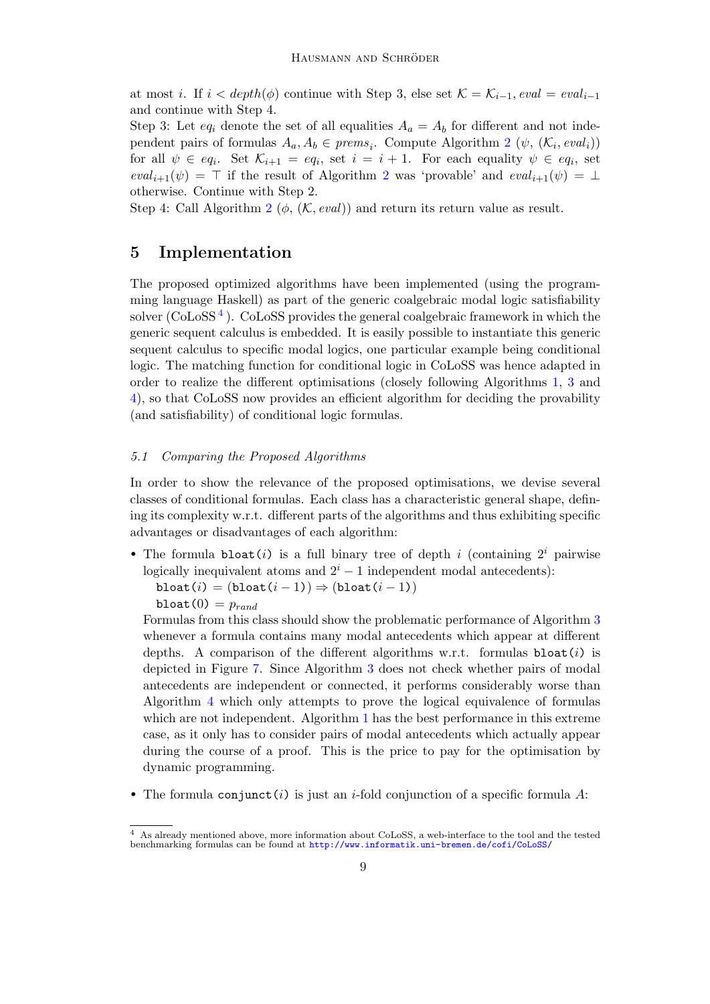at most i. If  $i < depth(\phi)$  continue with Step 3, else set  $\mathcal{K} = \mathcal{K}_{i-1}$ , eval = evaliand continue with Step 4.

Step 3: Let  $eq_i$  denote the set of all equalities  $A_a = A_b$  for different and not independent pairs of formulas  $A_a, A_b \in \text{prems}_i$ . Compute Algorithm [2](#page-6-0) ( $\psi$ ,  $(\mathcal{K}_i, \text{eval}_i)$ ) for all  $\psi \in eq_i$ . Set  $\mathcal{K}_{i+1} = eq_i$ , set  $i = i + 1$ . For each equality  $\psi \in eq_i$ , set  $eval_{i+1}(\psi) = \top$  if the result of Algorithm [2](#page-6-0) was 'provable' and  $eval_{i+1}(\psi) = \bot$ otherwise. Continue with Step 2.

Step 4: Call Algorithm [2](#page-6-0) ( $\phi$ , (K, eval)) and return its return value as result.

# 5 Implementation

The proposed optimized algorithms have been implemented (using the programming language Haskell) as part of the generic coalgebraic modal logic satisfiability solver ( $\text{CoLoSS}^4$  $\text{CoLoSS}^4$ ).  $\text{CoLoSS}$  provides the general coalgebraic framework in which the generic sequent calculus is embedded. It is easily possible to instantiate this generic sequent calculus to specific modal logics, one particular example being conditional logic. The matching function for conditional logic in CoLoSS was hence adapted in order to realize the different optimisations (closely following Algorithms [1,](#page-4-0) [3](#page-6-2) and [4\)](#page-7-0), so that CoLoSS now provides an efficient algorithm for deciding the provability (and satisfiability) of conditional logic formulas.

#### <span id="page-8-1"></span>5.1 Comparing the Proposed Algorithms

In order to show the relevance of the proposed optimisations, we devise several classes of conditional formulas. Each class has a characteristic general shape, defining its complexity w.r.t. different parts of the algorithms and thus exhibiting specific advantages or disadvantages of each algorithm:

• The formula bloat(i) is a full binary tree of depth i (containing  $2<sup>i</sup>$  pairwise logically inequivalent atoms and  $2^{i} - 1$  independent modal antecedents):

bloat(i) =  $(b$ loat(i – 1))  $\Rightarrow$   $(b$ loat(i – 1)) bloat $(0) = p_{rand}$ 

Formulas from this class should show the problematic performance of Algorithm [3](#page-6-2) whenever a formula contains many modal antecedents which appear at different depths. A comparison of the different algorithms w.r.t. formulas  $\text{bloat}(i)$  is depicted in Figure [7.](#page-9-0) Since Algorithm [3](#page-6-2) does not check whether pairs of modal antecedents are independent or connected, it performs considerably worse than Algorithm [4](#page-7-0) which only attempts to prove the logical equivalence of formulas which are not independent. Algorithm [1](#page-4-0) has the best performance in this extreme case, as it only has to consider pairs of modal antecedents which actually appear during the course of a proof. This is the price to pay for the optimisation by dynamic programming.

• The formula conjunct (i) is just an i-fold conjunction of a specific formula  $A$ :

<span id="page-8-0"></span><sup>4</sup> As already mentioned above, more information about CoLoSS, a web-interface to the tool and the tested benchmarking formulas can be found at <http://www.informatik.uni-bremen.de/cofi/CoLoSS/>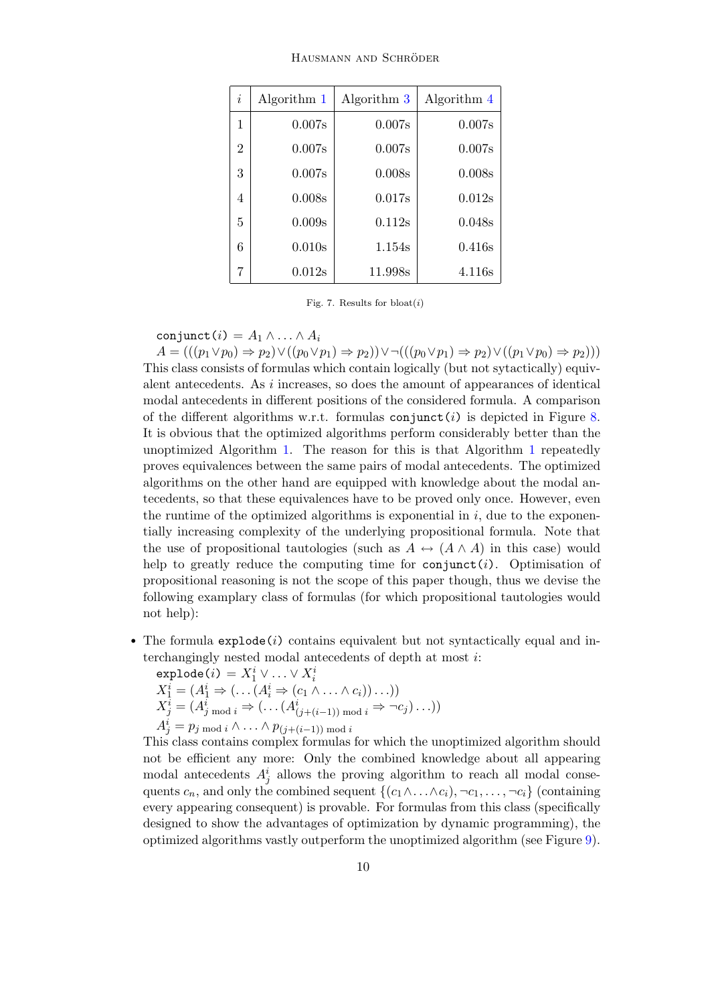| HAUSMANN AND SCHRÖDER |  |
|-----------------------|--|
|                       |  |

| $\dot{i}$      | Algorithm 1 | Algorithm 3 | Algorithm 4 |
|----------------|-------------|-------------|-------------|
| 1              | 0.007s      | 0.007s      | 0.007s      |
| $\overline{2}$ | 0.007s      | 0.007s      | 0.007s      |
| 3              | 0.007s      | 0.008s      | 0.008s      |
| 4              | 0.008s      | 0.017s      | 0.012s      |
| 5              | 0.009s      | 0.112s      | 0.048s      |
| 6              | 0.010s      | 1.154s      | 0.416s      |
| 7              | 0.012s      | 11.998s     | 4.116s      |

<span id="page-9-0"></span>Fig. 7. Results for  $\text{bloat}(i)$ 

conjunct  $(i) = A_1 \wedge \ldots \wedge A_i$ 

 $A = (((p_1 \vee p_0) \Rightarrow p_2) \vee ((p_0 \vee p_1) \Rightarrow p_2)) \vee \neg (((p_0 \vee p_1) \Rightarrow p_2) \vee ((p_1 \vee p_0) \Rightarrow p_2)))$ This class consists of formulas which contain logically (but not sytactically) equivalent antecedents. As i increases, so does the amount of appearances of identical modal antecedents in different positions of the considered formula. A comparison of the different algorithms w.r.t. formulas conjunct (i) is depicted in Figure [8.](#page-10-0) It is obvious that the optimized algorithms perform considerably better than the unoptimized Algorithm [1.](#page-4-0) The reason for this is that Algorithm [1](#page-4-0) repeatedly proves equivalences between the same pairs of modal antecedents. The optimized algorithms on the other hand are equipped with knowledge about the modal antecedents, so that these equivalences have to be proved only once. However, even the runtime of the optimized algorithms is exponential in  $i$ , due to the exponentially increasing complexity of the underlying propositional formula. Note that the use of propositional tautologies (such as  $A \leftrightarrow (A \wedge A)$ ) in this case) would help to greatly reduce the computing time for  $\text{conjunct}(i)$ . Optimisation of propositional reasoning is not the scope of this paper though, thus we devise the following examplary class of formulas (for which propositional tautologies would not help):

- The formula explode(i) contains equivalent but not syntactically equal and interchangingly nested modal antecedents of depth at most i:
	- $\texttt{explode}(i) = X^{i}_{1} \lor \ldots \lor X^{i}_{i}$  $X_1^i = (A_1^i \Rightarrow (\dots (A_i^i \Rightarrow (c_1 \land \dots \land c_i)) \dots))$  $X_j^i = (A_{j \mod i}^i \Rightarrow (\dots (A_{(j+(i-1)) \mod i}^i \Rightarrow \neg c_j) \dots))$  $A_j^i = p_j \bmod i \wedge \ldots \wedge p_{(j+(i-1))} \bmod i$

This class contains complex formulas for which the unoptimized algorithm should not be efficient any more: Only the combined knowledge about all appearing modal antecedents  $A_j^i$  allows the proving algorithm to reach all modal consequents  $c_n$ , and only the combined sequent  $\{(c_1 \wedge \ldots \wedge c_i), \neg c_1, \ldots, \neg c_i\}$  (containing every appearing consequent) is provable. For formulas from this class (specifically designed to show the advantages of optimization by dynamic programming), the optimized algorithms vastly outperform the unoptimized algorithm (see Figure [9\)](#page-10-1).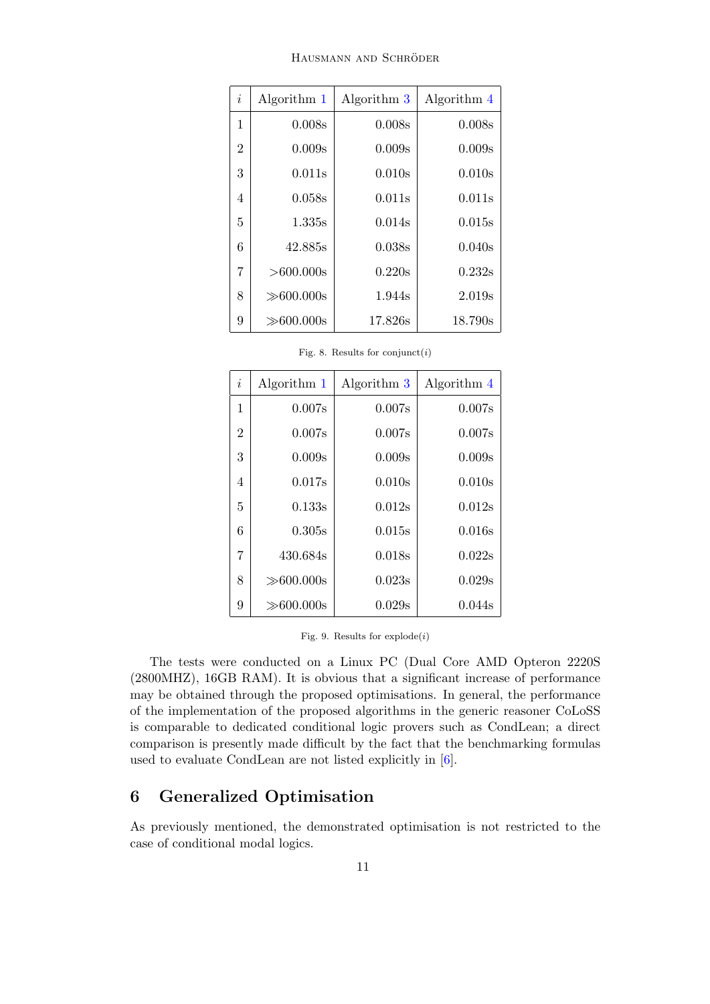HAUSMANN AND SCHRÖDER

| $\dot{i}$      | Algorithm 1     | Algorithm 3        | Algorithm 4 |
|----------------|-----------------|--------------------|-------------|
| 1              | 0.008s          | 0.008s             | 0.008s      |
| $\overline{2}$ | 0.009s          | 0.009s             | 0.009s      |
| 3              | 0.011s          | 0.010 <sub>s</sub> | 0.010s      |
| 4              | 0.058s          | 0.011s             | 0.011s      |
| 5              | 1.335s          | 0.014s             | 0.015s      |
| 6              | 42.885s         | 0.038s             | 0.040s      |
| 7              | $>600.000$ s    | 0.220s             | 0.232s      |
| 8              | $\gg 600.000$ s | 1.944s             | 2.019s      |
| 9              | $\gg 600.000$ s | 17.826s            | 18.790s     |

<span id="page-10-0"></span>Fig. 8. Results for  $\text{conjunct}(i)$ 

| $\dot{i}$      | Algorithm 1     | Algorithm 3 | Algorithm 4 |
|----------------|-----------------|-------------|-------------|
| 1              | 0.007s          | 0.007s      | 0.007s      |
| $\overline{2}$ | 0.007s          | 0.007s      | 0.007s      |
| 3              | 0.009s          | 0.009s      | 0.009s      |
| 4              | 0.017s          | 0.010s      | 0.010s      |
| 5              | 0.133s          | 0.012s      | 0.012s      |
| 6              | 0.305s          | 0.015s      | 0.016s      |
| 7              | 430.684s        | 0.018s      | 0.022s      |
| 8              | $\gg$ 600.000s  | 0.023s      | 0.029s      |
| 9              | $\gg 600.000$ s | 0.029s      | 0.044s      |

<span id="page-10-1"></span>Fig. 9. Results for  $explode(i)$ 

The tests were conducted on a Linux PC (Dual Core AMD Opteron 2220S (2800MHZ), 16GB RAM). It is obvious that a significant increase of performance may be obtained through the proposed optimisations. In general, the performance of the implementation of the proposed algorithms in the generic reasoner CoLoSS is comparable to dedicated conditional logic provers such as CondLean; a direct comparison is presently made difficult by the fact that the benchmarking formulas used to evaluate CondLean are not listed explicitly in [\[6\]](#page-13-14).

# 6 Generalized Optimisation

As previously mentioned, the demonstrated optimisation is not restricted to the case of conditional modal logics.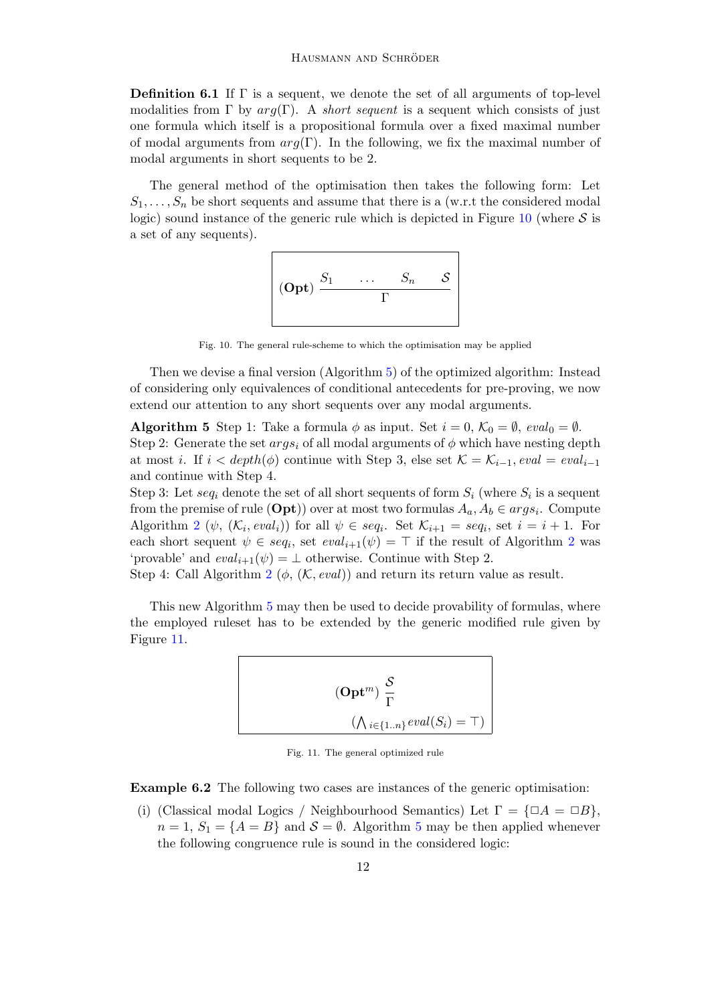**Definition 6.1** If  $\Gamma$  is a sequent, we denote the set of all arguments of top-level modalities from Γ by  $arg(\Gamma)$ . A short sequent is a sequent which consists of just one formula which itself is a propositional formula over a fixed maximal number of modal arguments from  $arg(\Gamma)$ . In the following, we fix the maximal number of modal arguments in short sequents to be 2.

The general method of the optimisation then takes the following form: Let  $S_1, \ldots, S_n$  be short sequents and assume that there is a (w.r.t the considered modal logic) sound instance of the generic rule which is depicted in Figure [10](#page-11-0) (where  $S$  is a set of any sequents).

$$
\left|\begin{array}{ccc} & S_1 & \ldots & S_n & \mathcal{S} \\ \textbf{(Opt)} & \frac{S_1}{\Gamma} & \end{array}\right|
$$

<span id="page-11-0"></span>Fig. 10. The general rule-scheme to which the optimisation may be applied

Then we devise a final version (Algorithm [5\)](#page-11-1) of the optimized algorithm: Instead of considering only equivalences of conditional antecedents for pre-proving, we now extend our attention to any short sequents over any modal arguments.

<span id="page-11-1"></span>**Algorithm 5** Step 1: Take a formula  $\phi$  as input. Set  $i = 0$ ,  $\mathcal{K}_0 = \emptyset$ , eval<sub>0</sub> =  $\emptyset$ . Step 2: Generate the set  $args_i$  of all modal arguments of  $\phi$  which have nesting depth at most i. If  $i < depth(\phi)$  continue with Step 3, else set  $\mathcal{K} = \mathcal{K}_{i-1}$ , eval = eval<sub>i-1</sub> and continue with Step 4.

Step 3: Let  $seq_i$  denote the set of all short sequents of form  $S_i$  (where  $S_i$  is a sequent from the premise of rule  $(\text{Opt})$ ) over at most two formulas  $A_a, A_b \in args_i$ . Compute Algorithm [2](#page-6-0) ( $\psi$ ,  $(\mathcal{K}_i, eval_i)$ ) for all  $\psi \in seq_i$ . Set  $\mathcal{K}_{i+1} = seq_i$ , set  $i = i + 1$ . For each short sequent  $\psi \in seq_i$ , set  $eval_{i+1}(\psi) = \top$  if the result of Algorithm [2](#page-6-0) was 'provable' and  $eval_{i+1}(\psi) = \bot$  otherwise. Continue with Step 2.

Step 4: Call Algorithm [2](#page-6-0) ( $\phi$ , (K, eval)) and return its return value as result.

This new Algorithm [5](#page-11-1) may then be used to decide provability of formulas, where the employed ruleset has to be extended by the generic modified rule given by Figure [11.](#page-11-2)

$$
(\mathbf{Opt}^m) \frac{\mathcal{S}}{\Gamma}
$$

$$
(\bigwedge_{i \in \{1..n\}} eval(S_i) = \top)
$$

<span id="page-11-2"></span>Fig. 11. The general optimized rule

Example 6.2 The following two cases are instances of the generic optimisation:

(i) (Classical modal Logics / Neighbourhood Semantics) Let  $\Gamma = {\Box A = \Box B}$ ,  $n = 1, S_1 = \{A = B\}$  and  $S = \emptyset$ . Algorithm [5](#page-11-1) may be then applied whenever the following congruence rule is sound in the considered logic: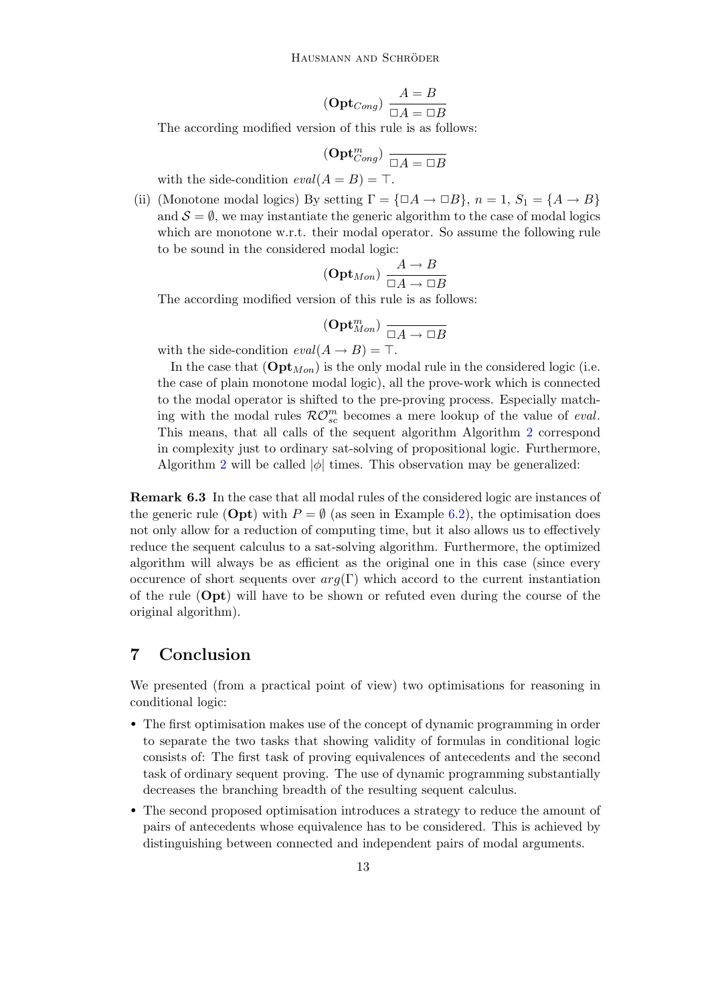$$
(\mathbf{Opt}_{Cong}) \frac{A=B}{\Box A=\Box B}
$$

The according modified version of this rule is as follows:

$$
(\mathbf{Opt}_{Cong}^m) \xrightarrow[\Box A = \Box B]
$$

with the side-condition  $eval(A = B) = \top$ .

<span id="page-12-0"></span>(ii) (Monotone modal logics) By setting  $\Gamma = {\square}A \rightarrow {\square}B$ ,  $n = 1, S_1 = {A \rightarrow B}$ and  $S = \emptyset$ , we may instantiate the generic algorithm to the case of modal logics which are monotone w.r.t. their modal operator. So assume the following rule to be sound in the considered modal logic:

$$
(\mathbf{Opt}_{Mon}) \xrightarrow{\begin{subarray}{c} A \to B \\ \Box A \to \Box B \end{subarray}}
$$

The according modified version of this rule is as follows:

$$
({\bf Opt}_{Mon}^m) \xrightarrow[\Box A \to \Box B]
$$

with the side-condition  $eval(A \rightarrow B) = \top$ .

In the case that  $(\mathbf{Opt}_{Mon})$  is the only modal rule in the considered logic (i.e. the case of plain monotone modal logic), all the prove-work which is connected to the modal operator is shifted to the pre-proving process. Especially matching with the modal rules  $\mathcal{RO}_{sc}^{m}$  becomes a mere lookup of the value of *eval*. This means, that all calls of the sequent algorithm Algorithm [2](#page-6-0) correspond in complexity just to ordinary sat-solving of propositional logic. Furthermore, Algorithm [2](#page-6-0) will be called  $|\phi|$  times. This observation may be generalized:

Remark 6.3 In the case that all modal rules of the considered logic are instances of the generic rule (Opt) with  $P = \emptyset$  (as seen in Example [6.2\)](#page-12-0), the optimisation does not only allow for a reduction of computing time, but it also allows us to effectively reduce the sequent calculus to a sat-solving algorithm. Furthermore, the optimized algorithm will always be as efficient as the original one in this case (since every occurence of short sequents over  $arg(\Gamma)$  which accord to the current instantiation of the rule (Opt) will have to be shown or refuted even during the course of the original algorithm).

### 7 Conclusion

We presented (from a practical point of view) two optimisations for reasoning in conditional logic:

- The first optimisation makes use of the concept of dynamic programming in order to separate the two tasks that showing validity of formulas in conditional logic consists of: The first task of proving equivalences of antecedents and the second task of ordinary sequent proving. The use of dynamic programming substantially decreases the branching breadth of the resulting sequent calculus.
- The second proposed optimisation introduces a strategy to reduce the amount of pairs of antecedents whose equivalence has to be considered. This is achieved by distinguishing between connected and independent pairs of modal arguments.